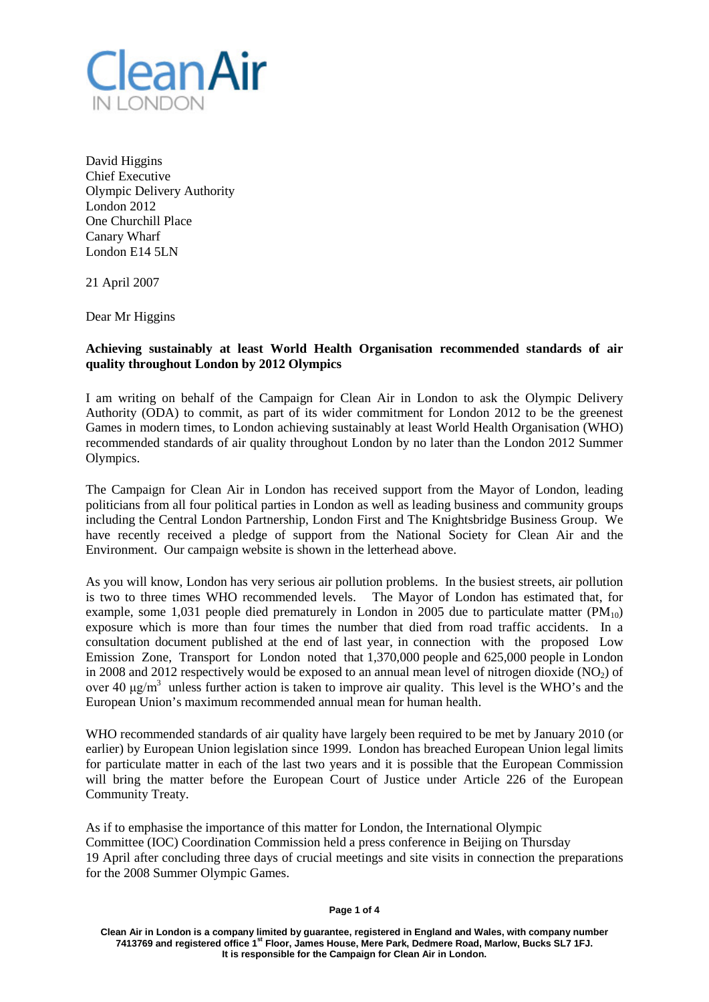

David Higgins Chief Executive Olympic Delivery Authority London 2012 One Churchill Place Canary Wharf London E14 5LN

21 April 2007

Dear Mr Higgins

## **Achieving sustainably at least World Health Organisation recommended standards of air quality throughout London by 2012 Olympics**

I am writing on behalf of the Campaign for Clean Air in London to ask the Olympic Delivery Authority (ODA) to commit, as part of its wider commitment for London 2012 to be the greenest Games in modern times, to London achieving sustainably at least World Health Organisation (WHO) recommended standards of air quality throughout London by no later than the London 2012 Summer Olympics.

The Campaign for Clean Air in London has received support from the Mayor of London, leading politicians from all four political parties in London as well as leading business and community groups including the Central London Partnership, London First and The Knightsbridge Business Group. We have recently received a pledge of support from the National Society for Clean Air and the Environment. Our campaign website is shown in the letterhead above.

As you will know, London has very serious air pollution problems. In the busiest streets, air pollution is two to three times WHO recommended levels. The Mayor of London has estimated that, for example, some 1,031 people died prematurely in London in 2005 due to particulate matter  $(PM_{10})$ exposure which is more than four times the number that died from road traffic accidents. In a consultation document published at the end of last year, in connection with the proposed Low Emission Zone, Transport for London noted that 1,370,000 people and 625,000 people in London in 2008 and 2012 respectively would be exposed to an annual mean level of nitrogen dioxide  $(NO<sub>2</sub>)$  of over 40  $\mu$ g/m<sup>3</sup> unless further action is taken to improve air quality. This level is the WHO's and the European Union's maximum recommended annual mean for human health.

WHO recommended standards of air quality have largely been required to be met by January 2010 (or earlier) by European Union legislation since 1999. London has breached European Union legal limits for particulate matter in each of the last two years and it is possible that the European Commission will bring the matter before the European Court of Justice under Article 226 of the European Community Treaty.

As if to emphasise the importance of this matter for London, the International Olympic Committee (IOC) Coordination Commission held a press conference in Beijing on Thursday 19 April after concluding three days of crucial meetings and site visits in connection the preparations for the 2008 Summer Olympic Games.

**Clean Air in London is a company limited by guarantee, registered in England and Wales, with company number 7413769 and registered office 1st Floor, James House, Mere Park, Dedmere Road, Marlow, Bucks SL7 1FJ. It is responsible for the Campaign for Clean Air in London.**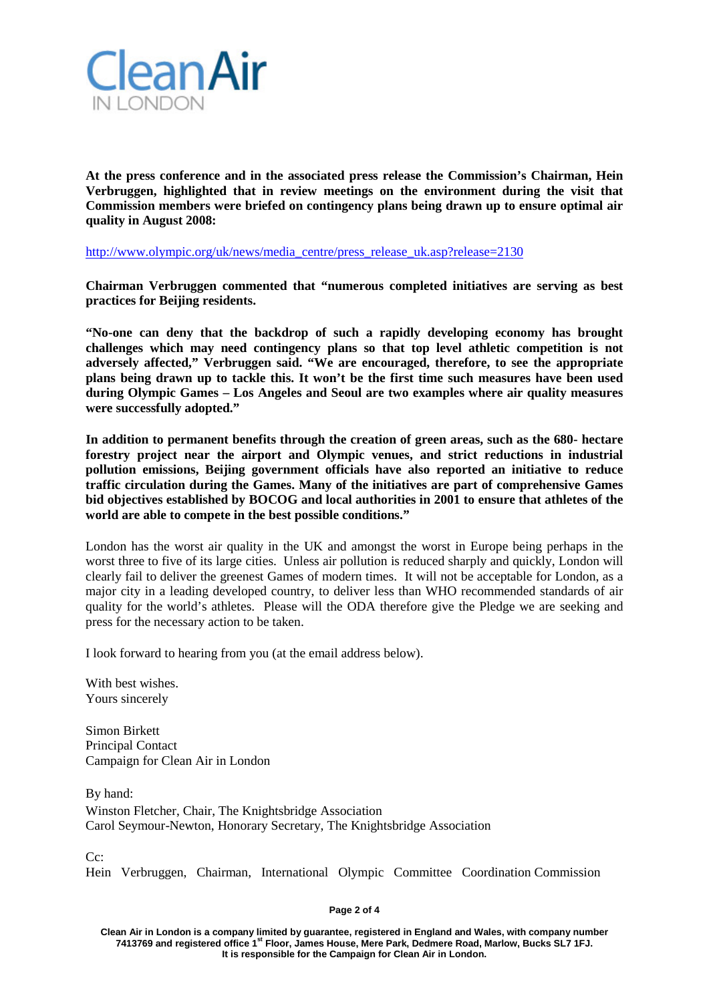

**At the press conference and in the associated press release the Commission's Chairman, Hein Verbruggen, highlighted that in review meetings on the environment during the visit that Commission members were briefed on contingency plans being drawn up to ensure optimal air quality in August 2008:**

[http://www.olympic.org/uk/news/media\\_centre/press\\_release\\_uk.asp?release=2130](http://www.olympic.org/uk/news/media_centre/press_release_uk.asp?release=2130)

**Chairman Verbruggen commented that "numerous completed initiatives are serving as best practices for Beijing residents.**

**"No-one can deny that the backdrop of such a rapidly developing economy has brought challenges which may need contingency plans so that top level athletic competition is not adversely affected," Verbruggen said. "We are encouraged, therefore, to see the appropriate plans being drawn up to tackle this. It won't be the first time such measures have been used during Olympic Games – Los Angeles and Seoul are two examples where air quality measures were successfully adopted."**

**In addition to permanent benefits through the creation of green areas, such as the 680- hectare forestry project near the airport and Olympic venues, and strict reductions in industrial pollution emissions, Beijing government officials have also reported an initiative to reduce traffic circulation during the Games. Many of the initiatives are part of comprehensive Games bid objectives established by BOCOG and local authorities in 2001 to ensure that athletes of the world are able to compete in the best possible conditions."**

London has the worst air quality in the UK and amongst the worst in Europe being perhaps in the worst three to five of its large cities. Unless air pollution is reduced sharply and quickly, London will clearly fail to deliver the greenest Games of modern times. It will not be acceptable for London, as a major city in a leading developed country, to deliver less than WHO recommended standards of air quality for the world's athletes. Please will the ODA therefore give the Pledge we are seeking and press for the necessary action to be taken.

I look forward to hearing from you (at the email address below).

With best wishes. Yours sincerely

Simon Birkett Principal Contact Campaign for Clean Air in London

By hand: Winston Fletcher, Chair, The Knightsbridge Association Carol Seymour-Newton, Honorary Secretary, The Knightsbridge Association

C<sub>c</sub>:

Hein Verbruggen, Chairman, International Olympic Committee Coordination Commission

**Page 2 of 4**

**Clean Air in London is a company limited by guarantee, registered in England and Wales, with company number 7413769 and registered office 1st Floor, James House, Mere Park, Dedmere Road, Marlow, Bucks SL7 1FJ. It is responsible for the Campaign for Clean Air in London.**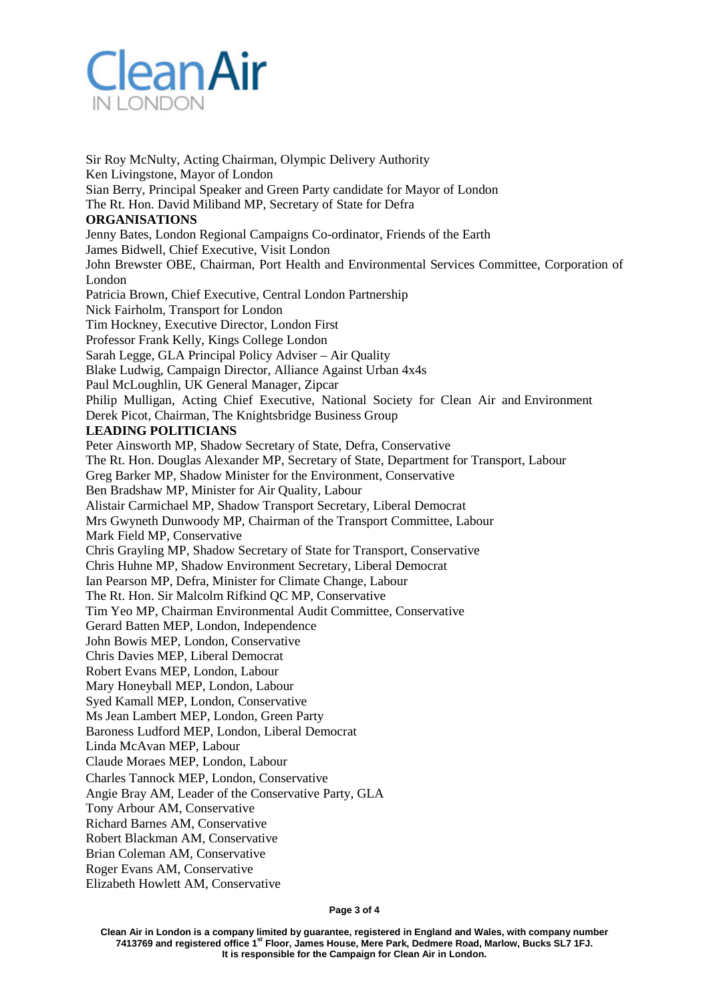

Sir Roy McNulty, Acting Chairman, Olympic Delivery Authority Ken Livingstone, Mayor of London Sian Berry, Principal Speaker and Green Party candidate for Mayor of London The Rt. Hon. David Miliband MP, Secretary of State for Defra **ORGANISATIONS** Jenny Bates, London Regional Campaigns Co-ordinator, Friends of the Earth James Bidwell, Chief Executive, Visit London John Brewster OBE, Chairman, Port Health and Environmental Services Committee, Corporation of London Patricia Brown, Chief Executive, Central London Partnership Nick Fairholm, Transport for London Tim Hockney, Executive Director, London First Professor Frank Kelly, Kings College London Sarah Legge, GLA Principal Policy Adviser – Air Quality Blake Ludwig, Campaign Director, Alliance Against Urban 4x4s Paul McLoughlin, UK General Manager, Zipcar Philip Mulligan, Acting Chief Executive, National Society for Clean Air and Environment Derek Picot, Chairman, The Knightsbridge Business Group **LEADING POLITICIANS** Peter Ainsworth MP, Shadow Secretary of State, Defra, Conservative The Rt. Hon. Douglas Alexander MP, Secretary of State, Department for Transport, Labour Greg Barker MP, Shadow Minister for the Environment, Conservative Ben Bradshaw MP, Minister for Air Quality, Labour Alistair Carmichael MP, Shadow Transport Secretary, Liberal Democrat Mrs Gwyneth Dunwoody MP, Chairman of the Transport Committee, Labour Mark Field MP, Conservative Chris Grayling MP, Shadow Secretary of State for Transport, Conservative Chris Huhne MP, Shadow Environment Secretary, Liberal Democrat Ian Pearson MP, Defra, Minister for Climate Change, Labour The Rt. Hon. Sir Malcolm Rifkind QC MP, Conservative Tim Yeo MP, Chairman Environmental Audit Committee, Conservative Gerard Batten MEP, London, Independence John Bowis MEP, London, Conservative Chris Davies MEP, Liberal Democrat Robert Evans MEP, London, Labour Mary Honeyball MEP, London, Labour Syed Kamall MEP, London, Conservative Ms Jean Lambert MEP, London, Green Party Baroness Ludford MEP, London, Liberal Democrat Linda McAvan MEP, Labour Claude Moraes MEP, London, Labour Charles Tannock MEP, London, Conservative Angie Bray AM, Leader of the Conservative Party, GLA Tony Arbour AM, Conservative Richard Barnes AM, Conservative Robert Blackman AM, Conservative Brian Coleman AM, Conservative Roger Evans AM, Conservative

Elizabeth Howlett AM, Conservative

**Page 3 of 4**